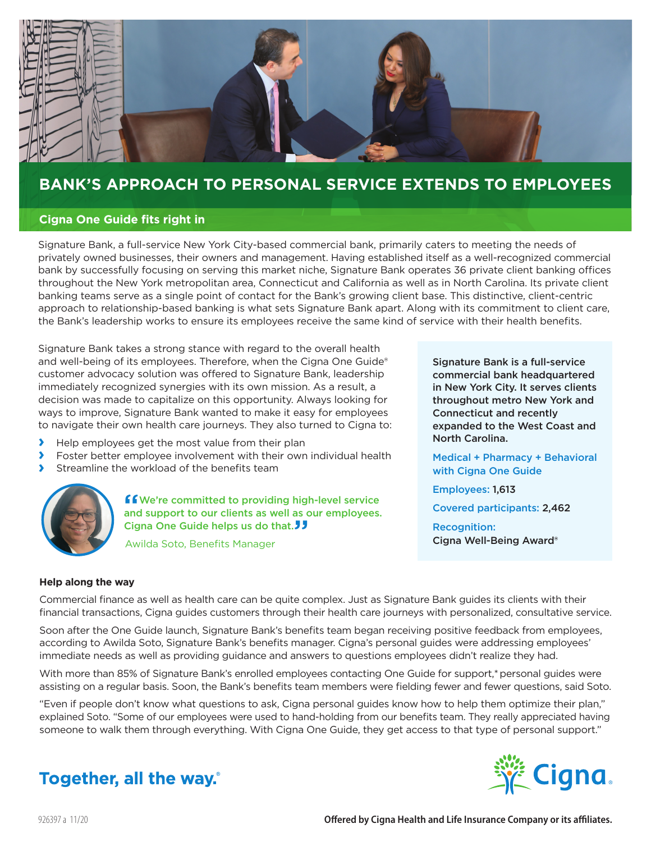

## **BANK'S APPROACH TO PERSONAL SERVICE EXTENDS TO EMPLOYEES**

#### **Cigna One Guide fits right in**

Signature Bank, a full-service New York City-based commercial bank, primarily caters to meeting the needs of privately owned businesses, their owners and management. Having established itself as a well-recognized commercial bank by successfully focusing on serving this market niche, Signature Bank operates 36 private client banking offices throughout the New York metropolitan area, Connecticut and California as well as in North Carolina. Its private client banking teams serve as a single point of contact for the Bank's growing client base. This distinctive, client-centric approach to relationship-based banking is what sets Signature Bank apart. Along with its commitment to client care, the Bank's leadership works to ensure its employees receive the same kind of service with their health benefits.

Signature Bank takes a strong stance with regard to the overall health and well-being of its employees. Therefore, when the Cigna One Guide® customer advocacy solution was offered to Signature Bank, leadership immediately recognized synergies with its own mission. As a result, a decision was made to capitalize on this opportunity. Always looking for ways to improve, Signature Bank wanted to make it easy for employees to navigate their own health care journeys. They also turned to Cigna to:

- **›** Help employees get the most value from their plan
- **›** Foster better employee involvement with their own individual health
- **›** Streamline the workload of the benefits team

**f** We're committed to providing high-level service and support to our clients as well as our employees. Cigna One Guide helps us do that.<sup>1</sup>

Awilda Soto, Benefits Manager

#### **Help along the way**

Commercial finance as well as health care can be quite complex. Just as Signature Bank guides its clients with their financial transactions, Cigna guides customers through their health care journeys with personalized, consultative service.

Soon after the One Guide launch, Signature Bank's benefits team began receiving positive feedback from employees, according to Awilda Soto, Signature Bank's benefits manager. Cigna's personal guides were addressing employees' immediate needs as well as providing guidance and answers to questions employees didn't realize they had.

With more than 85% of Signature Bank's enrolled employees contacting One Guide for support,\*personal guides were assisting on a regular basis. Soon, the Bank's benefits team members were fielding fewer and fewer questions, said Soto.

"Even if people don't know what questions to ask, Cigna personal guides know how to help them optimize their plan," explained Soto. "Some of our employees were used to hand-holding from our benefits team. They really appreciated having someone to walk them through everything. With Cigna One Guide, they get access to that type of personal support."



Signature Bank is a full-service commercial bank headquartered in New York City. It serves clients throughout metro New York and

expanded to the West Coast and

Medical + Pharmacy + Behavioral

Connecticut and recently

with Cigna One Guide

Covered participants: 2,462

Cigna Well-Being Award®

North Carolina.

Employees: 1,613

Recognition:

## **Together, all the way.**